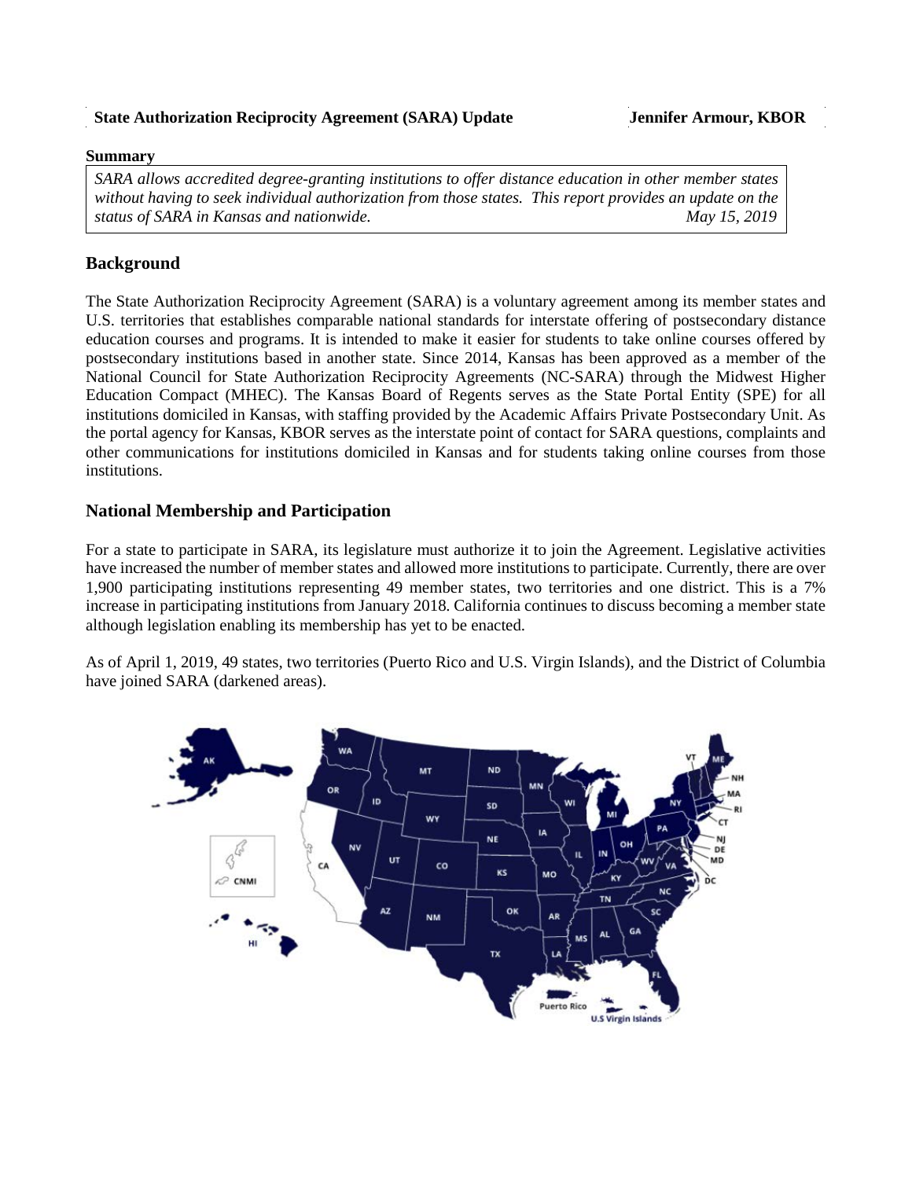### **State Authorization Reciprocity Agreement (SARA) Update Jennifer Armour, KBOR**

#### **Summary**

*SARA allows accredited degree-granting institutions to offer distance education in other member states without having to seek individual authorization from those states. This report provides an update on the status of SARA in Kansas and nationwide.* May 15, 2019

# **Background**

The State Authorization Reciprocity Agreement (SARA) is a voluntary agreement among its member states and U.S. territories that establishes comparable national standards for interstate offering of postsecondary distance education courses and programs. It is intended to make it easier for students to take online courses offered by postsecondary institutions based in another state. Since 2014, Kansas has been approved as a member of the National Council for State Authorization Reciprocity Agreements (NC-SARA) through the Midwest Higher Education Compact (MHEC). The Kansas Board of Regents serves as the State Portal Entity (SPE) for all institutions domiciled in Kansas, with staffing provided by the Academic Affairs Private Postsecondary Unit. As the portal agency for Kansas, KBOR serves as the interstate point of contact for SARA questions, complaints and other communications for institutions domiciled in Kansas and for students taking online courses from those institutions.

## **National Membership and Participation**

For a state to participate in SARA, its legislature must authorize it to join the Agreement. Legislative activities have increased the number of member states and allowed more institutions to participate. Currently, there are over 1,900 participating institutions representing 49 member states, two territories and one district. This is a 7% increase in participating institutions from January 2018. California continues to discuss becoming a member state although legislation enabling its membership has yet to be enacted.

As of April 1, 2019, 49 states, two territories (Puerto Rico and U.S. Virgin Islands), and the District of Columbia have joined SARA (darkened areas).

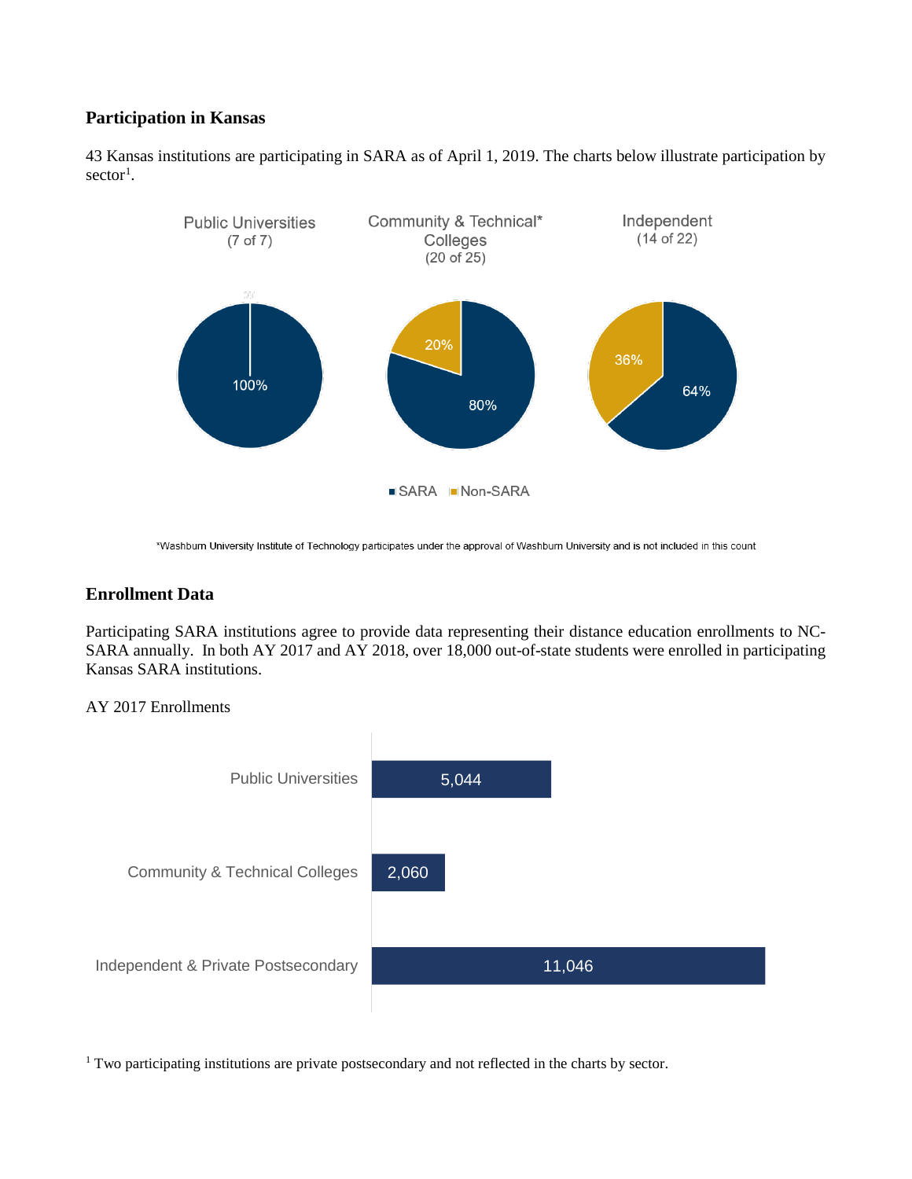# **Participation in Kansas**

43 Kansas institutions are participating in SARA as of April 1, 2019. The charts below illustrate participation by  $sector<sup>1</sup>$  $sector<sup>1</sup>$  $sector<sup>1</sup>$ .



\*Washburn University Institute of Technology participates under the approval of Washburn University and is not included in this count

## **Enrollment Data**

Participating SARA institutions agree to provide data representing their distance education enrollments to NC-SARA annually. In both AY 2017 and AY 2018, over 18,000 out-of-state students were enrolled in participating Kansas SARA institutions.

### AY 2017 Enrollments



<span id="page-1-0"></span><sup>1</sup> Two participating institutions are private postsecondary and not reflected in the charts by sector.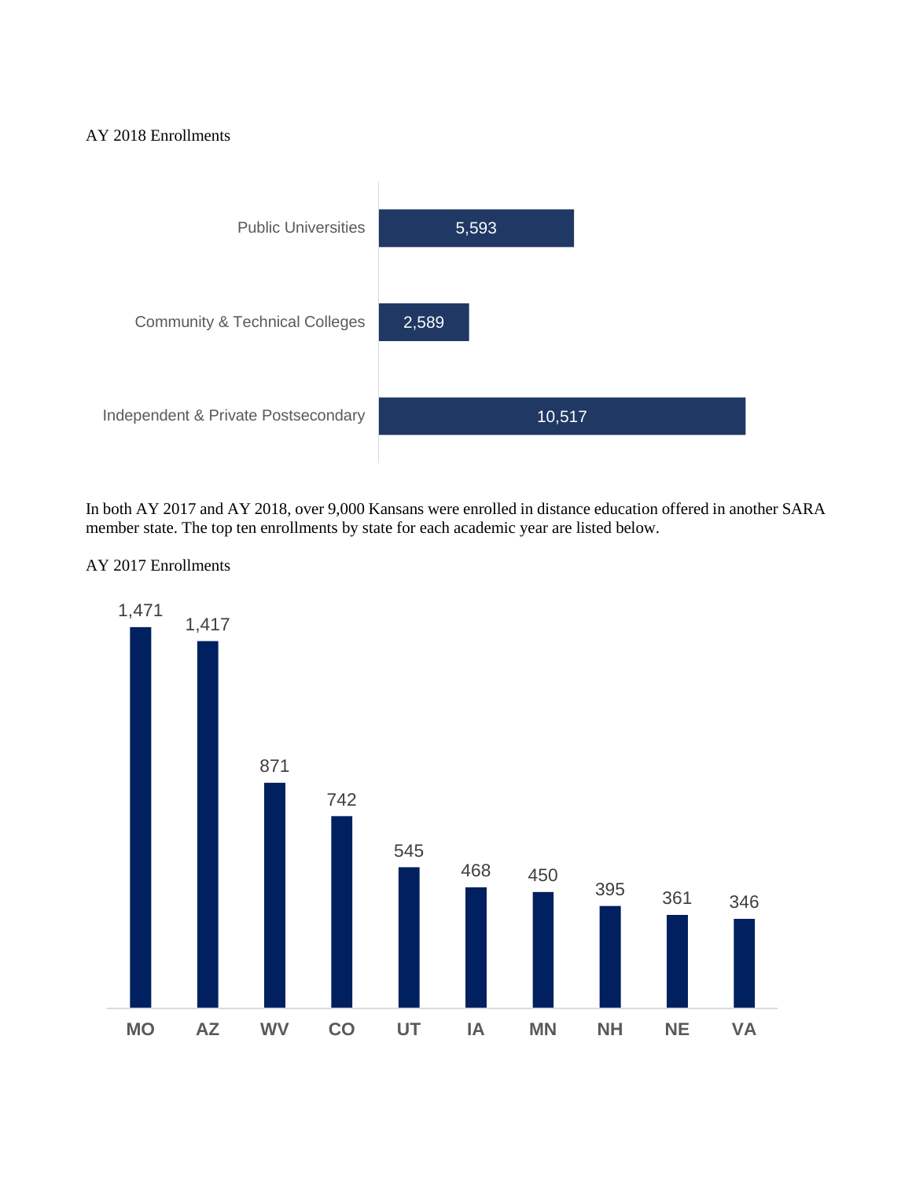### AY 2018 Enrollments



In both AY 2017 and AY 2018, over 9,000 Kansans were enrolled in distance education offered in another SARA member state. The top ten enrollments by state for each academic year are listed below.

### AY 2017 Enrollments